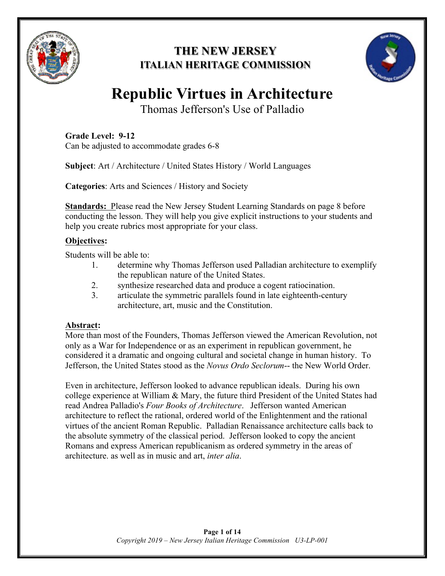

## **THE NEW JERSEY ITALIAN HERITAGE COMMISSION**



# **Republic Virtues in Architecture**

Thomas Jefferson's Use of Palladio

**Grade Level: 9-12** Can be adjusted to accommodate grades 6-8

**Subject**: Art / Architecture / United States History / World Languages

**Categories**: Arts and Sciences / History and Society

**Standards:** Please read the New Jersey Student Learning Standards on page 8 before conducting the lesson. They will help you give explicit instructions to your students and help you create rubrics most appropriate for your class.

#### **Objectives:**

Students will be able to:

- 1. determine why Thomas Jefferson used Palladian architecture to exemplify the republican nature of the United States.
- 2. synthesize researched data and produce a cogent ratiocination.
- 3. articulate the symmetric parallels found in late eighteenth-century architecture, art, music and the Constitution.

#### **Abstract:**

More than most of the Founders, Thomas Jefferson viewed the American Revolution, not only as a War for Independence or as an experiment in republican government, he considered it a dramatic and ongoing cultural and societal change in human history. To Jefferson, the United States stood as the *Novus Ordo Seclorum*-- the New World Order.

Even in architecture, Jefferson looked to advance republican ideals. During his own college experience at William & Mary, the future third President of the United States had read Andrea Palladio's *Four Books of Architecture*. Jefferson wanted American architecture to reflect the rational, ordered world of the Enlightenment and the rational virtues of the ancient Roman Republic. Palladian Renaissance architecture calls back to the absolute symmetry of the classical period. Jefferson looked to copy the ancient Romans and express American republicanism as ordered symmetry in the areas of architecture. as well as in music and art, *inter alia*.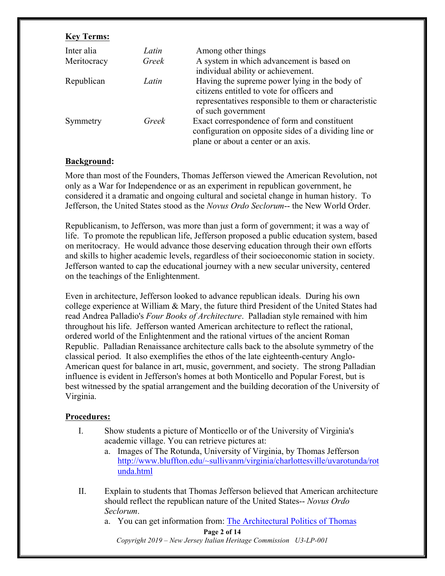| <b>Key Terms:</b> |       |                                                                                                                                                                            |
|-------------------|-------|----------------------------------------------------------------------------------------------------------------------------------------------------------------------------|
| Inter alia        | Latin | Among other things                                                                                                                                                         |
| Meritocracy       | Greek | A system in which advancement is based on<br>individual ability or achievement.                                                                                            |
| Republican        | Latin | Having the supreme power lying in the body of<br>citizens entitled to vote for officers and<br>representatives responsible to them or characteristic<br>of such government |
| Symmetry          | Greek | Exact correspondence of form and constituent<br>configuration on opposite sides of a dividing line or<br>plane or about a center or an axis.                               |

#### **Background:**

More than most of the Founders, Thomas Jefferson viewed the American Revolution, not only as a War for Independence or as an experiment in republican government, he considered it a dramatic and ongoing cultural and societal change in human history. To Jefferson, the United States stood as the *Novus Ordo Seclorum*-- the New World Order.

Republicanism, to Jefferson, was more than just a form of government; it was a way of life. To promote the republican life, Jefferson proposed a public education system, based on meritocracy. He would advance those deserving education through their own efforts and skills to higher academic levels, regardless of their socioeconomic station in society. Jefferson wanted to cap the educational journey with a new secular university, centered on the teachings of the Enlightenment.

Even in architecture, Jefferson looked to advance republican ideals. During his own college experience at William & Mary, the future third President of the United States had read Andrea Palladio's *Four Books of Architecture*. Palladian style remained with him throughout his life. Jefferson wanted American architecture to reflect the rational, ordered world of the Enlightenment and the rational virtues of the ancient Roman Republic. Palladian Renaissance architecture calls back to the absolute symmetry of the classical period. It also exemplifies the ethos of the late eighteenth-century Anglo-American quest for balance in art, music, government, and society. The strong Palladian influence is evident in Jefferson's homes at both Monticello and Popular Forest, but is best witnessed by the spatial arrangement and the building decoration of the University of Virginia.

#### **Procedures:**

- I. Show students a picture of Monticello or of the University of Virginia's academic village. You can retrieve pictures at:
	- a. Images of The Rotunda, University of Virginia, by Thomas Jefferson http://www.bluffton.edu/~sullivanm/virginia/charlottesville/uvarotunda/rot unda.html
- II. Explain to students that Thomas Jefferson believed that American architecture should reflect the republican nature of the United States-- *Novus Ordo Seclorum*.

a. You can get information from: The Architectural Politics of Thomas

**Page 2 of 14** *Copyright 2019 – New Jersey Italian Heritage Commission U3-LP-001*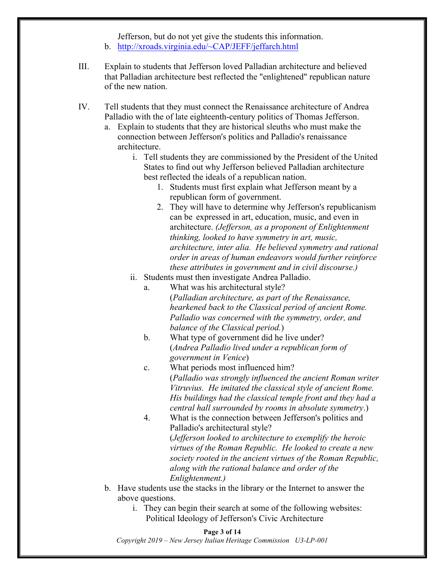Jefferson, but do not yet give the students this information. b. http://xroads.virginia.edu/~CAP/JEFF/jeffarch.html

- III. Explain to students that Jefferson loved Palladian architecture and believed that Palladian architecture best reflected the "enlightened" republican nature of the new nation.
- IV. Tell students that they must connect the Renaissance architecture of Andrea Palladio with the of late eighteenth-century politics of Thomas Jefferson.
	- a. Explain to students that they are historical sleuths who must make the connection between Jefferson's politics and Palladio's renaissance architecture.
		- i. Tell students they are commissioned by the President of the United States to find out why Jefferson believed Palladian architecture best reflected the ideals of a republican nation.
			- 1. Students must first explain what Jefferson meant by a republican form of government.
			- 2. They will have to determine why Jefferson's republicanism can be expressed in art, education, music, and even in architecture. *(Jefferson, as a proponent of Enlightenment thinking, looked to have symmetry in art, music, architecture, inter alia. He believed symmetry and rational order in areas of human endeavors would further reinforce these attributes in government and in civil discourse.)*
		- ii. Students must then investigate Andrea Palladio.
			- a. What was his architectural style? (*Palladian architecture, as part of the Renaissance, hearkened back to the Classical period of ancient Rome. Palladio was concerned with the symmetry, order, and balance of the Classical period.*)
			- b. What type of government did he live under? (*Andrea Palladio lived under a republican form of government in Venice*)
			- c. What periods most influenced him? (*Palladio was strongly influenced the ancient Roman writer Vitruvius. He imitated the classical style of ancient Rome. His buildings had the classical temple front and they had a central hall surrounded by rooms in absolute symmetry*.)
			- 4. What is the connection between Jefferson's politics and Palladio's architectural style? (*Jefferson looked to architecture to exemplify the heroic virtues of the Roman Republic. He looked to create a new society rooted in the ancient virtues of the Roman Republic, along with the rational balance and order of the Enlightenment.)*
	- b. Have students use the stacks in the library or the Internet to answer the above questions.
		- i. They can begin their search at some of the following websites: Political Ideology of Jefferson's Civic Architecture

#### **Page 3 of 14**

*Copyright 2019 – New Jersey Italian Heritage Commission U3-LP-001*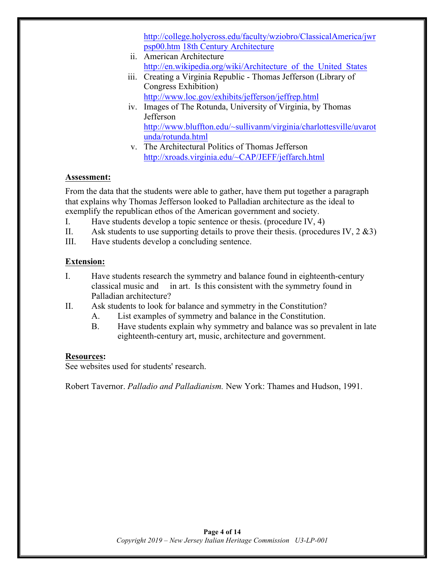http://college.holycross.edu/faculty/wziobro/ClassicalAmerica/jwr psp00.htm 18th Century Architecture

- ii. American Architecture http://en.wikipedia.org/wiki/Architecture of the United States
- iii. Creating a Virginia Republic Thomas Jefferson (Library of Congress Exhibition) http://www.loc.gov/exhibits/jefferson/jeffrep.html
- iv. Images of The Rotunda, University of Virginia, by Thomas Jefferson http://www.bluffton.edu/~sullivanm/virginia/charlottesville/uvarot unda/rotunda.html
- v. The Architectural Politics of Thomas Jefferson http://xroads.virginia.edu/~CAP/JEFF/jeffarch.html

#### **Assessment:**

From the data that the students were able to gather, have them put together a paragraph that explains why Thomas Jefferson looked to Palladian architecture as the ideal to exemplify the republican ethos of the American government and society.

- I. Have students develop a topic sentence or thesis. (procedure IV, 4)
- II. Ask students to use supporting details to prove their thesis. (procedures IV,  $2 \& 3$ )
- III. Have students develop a concluding sentence.

#### **Extension:**

- I. Have students research the symmetry and balance found in eighteenth-century classical music and in art. Is this consistent with the symmetry found in Palladian architecture?
- II. Ask students to look for balance and symmetry in the Constitution?
	- A. List examples of symmetry and balance in the Constitution.
	- B. Have students explain why symmetry and balance was so prevalent in late eighteenth-century art, music, architecture and government.

#### **Resources:**

See websites used for students' research.

Robert Tavernor. *Palladio and Palladianism.* New York: Thames and Hudson, 1991.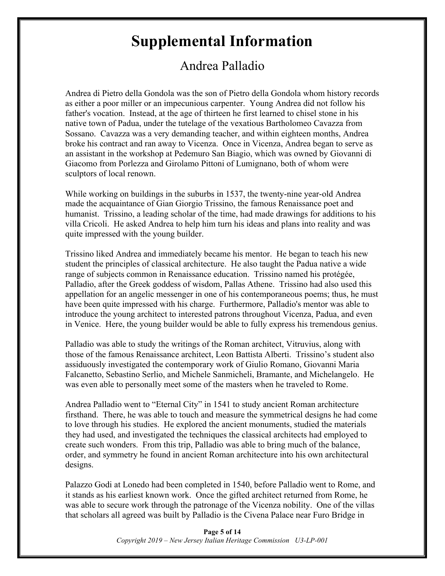# **Supplemental Information**

## Andrea Palladio

Andrea di Pietro della Gondola was the son of Pietro della Gondola whom history records as either a poor miller or an impecunious carpenter. Young Andrea did not follow his father's vocation. Instead, at the age of thirteen he first learned to chisel stone in his native town of Padua, under the tutelage of the vexatious Bartholomeo Cavazza from Sossano. Cavazza was a very demanding teacher, and within eighteen months, Andrea broke his contract and ran away to Vicenza. Once in Vicenza, Andrea began to serve as an assistant in the workshop at Pedemuro San Biagio, which was owned by Giovanni di Giacomo from Porlezza and Girolamo Pittoni of Lumignano, both of whom were sculptors of local renown.

While working on buildings in the suburbs in 1537, the twenty-nine year-old Andrea made the acquaintance of Gian Giorgio Trissino, the famous Renaissance poet and humanist. Trissino, a leading scholar of the time, had made drawings for additions to his villa Cricoli. He asked Andrea to help him turn his ideas and plans into reality and was quite impressed with the young builder.

Trissino liked Andrea and immediately became his mentor. He began to teach his new student the principles of classical architecture. He also taught the Padua native a wide range of subjects common in Renaissance education. Trissino named his protégée, Palladio, after the Greek goddess of wisdom, Pallas Athene. Trissino had also used this appellation for an angelic messenger in one of his contemporaneous poems; thus, he must have been quite impressed with his charge. Furthermore, Palladio's mentor was able to introduce the young architect to interested patrons throughout Vicenza, Padua, and even in Venice. Here, the young builder would be able to fully express his tremendous genius.

Palladio was able to study the writings of the Roman architect, Vitruvius, along with those of the famous Renaissance architect, Leon Battista Alberti. Trissino's student also assiduously investigated the contemporary work of Giulio Romano, Giovanni Maria Falcanetto, Sebastino Serlio, and Michele Sanmicheli, Bramante, and Michelangelo. He was even able to personally meet some of the masters when he traveled to Rome.

Andrea Palladio went to "Eternal City" in 1541 to study ancient Roman architecture firsthand. There, he was able to touch and measure the symmetrical designs he had come to love through his studies. He explored the ancient monuments, studied the materials they had used, and investigated the techniques the classical architects had employed to create such wonders. From this trip, Palladio was able to bring much of the balance, order, and symmetry he found in ancient Roman architecture into his own architectural designs.

Palazzo Godi at Lonedo had been completed in 1540, before Palladio went to Rome, and it stands as his earliest known work. Once the gifted architect returned from Rome, he was able to secure work through the patronage of the Vicenza nobility. One of the villas that scholars all agreed was built by Palladio is the Civena Palace near Furo Bridge in

> **Page 5 of 14** *Copyright 2019 – New Jersey Italian Heritage Commission U3-LP-001*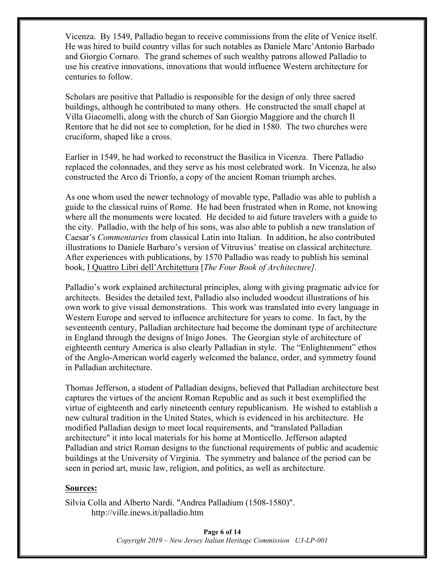Vicenza. By 1549, Palladio began to receive commissions from the elite of Venice itself. He was hired to build country villas for such notables as Daniele Marc'Antonio Barbado and Giorgio Cornaro. The grand schemes of such wealthy patrons allowed Palladio to use his creative innovations, innovations that would influence Western architecture for centuries to follow.

Scholars are positive that Palladio is responsible for the design of only three sacred buildings, although he contributed to many others. He constructed the small chapel at Villa Giacomelli, along with the church of San Giorgio Maggiore and the church Il Rentore that he did not see to completion, for he died in 1580. The two churches were cruciform, shaped like a cross.

Earlier in 1549, he had worked to reconstruct the Basilica in Vicenza. There Palladio replaced the colonnades, and they serve as his most celebrated work. In Vicenza, he also constructed the Arco di Trionfo, a copy of the ancient Roman triumph arches.

As one whom used the newer technology of movable type, Palladio was able to publish a guide to the classical ruins of Rome. He had been frustrated when in Rome, not knowing where all the monuments were located. He decided to aid future travelers with a guide to the city. Palladio, with the help of his sons, was also able to publish a new translation of Caesar's *Commentaries* from classical Latin into Italian. In addition, he also contributed illustrations to Daniele Barbaro's version of Vitruvius' treatise on classical architecture. After experiences with publications, by 1570 Palladio was ready to publish his seminal book, I Quattro Libri dell'Architettura [*The Four Book of Architecture].*

Palladio's work explained architectural principles, along with giving pragmatic advice for architects. Besides the detailed text, Palladio also included woodcut illustrations of his own work to give visual demonstrations. This work was translated into every language in Western Europe and served to influence architecture for years to come. In fact, by the seventeenth century, Palladian architecture had become the dominant type of architecture in England through the designs of Inigo Jones. The Georgian style of architecture of eighteenth century America is also clearly Palladian in style. The "Enlightenment" ethos of the Anglo-American world eagerly welcomed the balance, order, and symmetry found in Palladian architecture.

Thomas Jefferson, a student of Palladian designs, believed that Palladian architecture best captures the virtues of the ancient Roman Republic and as such it best exemplified the virtue of eighteenth and early nineteenth century republicanism. He wished to establish a new cultural tradition in the United States, which is evidenced in his architecture. He modified Palladian design to meet local requirements, and "translated Palladian architecture" it into local materials for his home at Monticello. Jefferson adapted Palladian and strict Roman designs to the functional requirements of public and academic buildings at the University of Virginia. The symmetry and balance of the period can be seen in period art, music law, religion, and politics, as well as architecture.

#### **Sources:**

Silvia Colla and Alberto Nardi. "Andrea Palladium (1508-1580)". http://ville.inews.it/palladio.htm

> **Page 6 of 14** *Copyright 2019 – New Jersey Italian Heritage Commission U3-LP-001*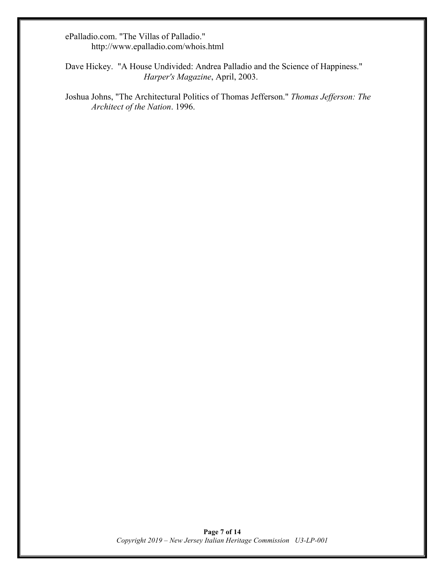ePalladio.com. "The Villas of Palladio." http://www.epalladio.com/whois.html

Dave Hickey. "A House Undivided: Andrea Palladio and the Science of Happiness." *Harper's Magazine*, April, 2003.

Joshua Johns, "The Architectural Politics of Thomas Jefferson." *Thomas Jefferson: The Architect of the Nation*. 1996.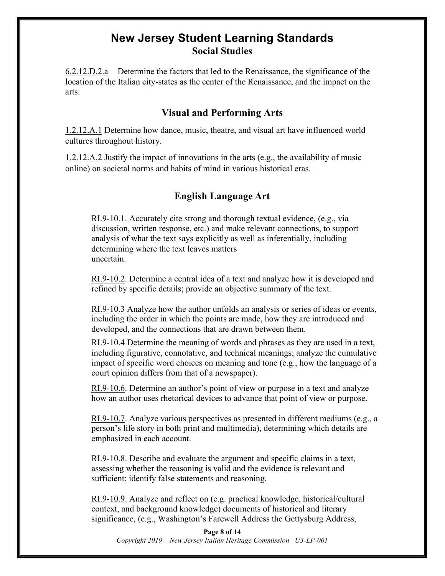### **New Jersey Student Learning Standards Social Studies**

6.2.12.D.2.a Determine the factors that led to the Renaissance, the significance of the location of the Italian city-states as the center of the Renaissance, and the impact on the arts.

#### **Visual and Performing Arts**

1.2.12.A.1 Determine how dance, music, theatre, and visual art have influenced world cultures throughout history.

1.2.12.A.2 Justify the impact of innovations in the arts (e.g., the availability of music online) on societal norms and habits of mind in various historical eras.

### **English Language Art**

RI.9-10.1. Accurately cite strong and thorough textual evidence, (e.g., via discussion, written response, etc.) and make relevant connections, to support analysis of what the text says explicitly as well as inferentially, including determining where the text leaves matters uncertain.

RI.9-10.2. Determine a central idea of a text and analyze how it is developed and refined by specific details; provide an objective summary of the text.

RI.9-10.3 Analyze how the author unfolds an analysis or series of ideas or events, including the order in which the points are made, how they are introduced and developed, and the connections that are drawn between them.

RI.9-10.4 Determine the meaning of words and phrases as they are used in a text, including figurative, connotative, and technical meanings; analyze the cumulative impact of specific word choices on meaning and tone (e.g., how the language of a court opinion differs from that of a newspaper).

RI.9-10.6. Determine an author's point of view or purpose in a text and analyze how an author uses rhetorical devices to advance that point of view or purpose.

RI.9-10.7. Analyze various perspectives as presented in different mediums (e.g., a person's life story in both print and multimedia), determining which details are emphasized in each account.

RI.9-10.8. Describe and evaluate the argument and specific claims in a text, assessing whether the reasoning is valid and the evidence is relevant and sufficient; identify false statements and reasoning.

RI.9-10.9. Analyze and reflect on (e.g. practical knowledge, historical/cultural context, and background knowledge) documents of historical and literary significance, (e.g., Washington's Farewell Address the Gettysburg Address,

**Page 8 of 14** *Copyright 2019 – New Jersey Italian Heritage Commission U3-LP-001*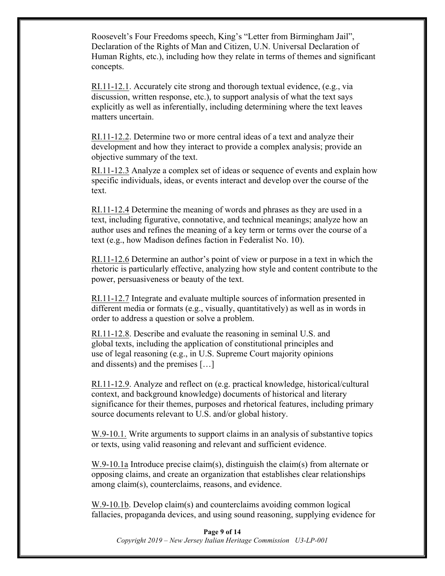Roosevelt's Four Freedoms speech, King's "Letter from Birmingham Jail", Declaration of the Rights of Man and Citizen, U.N. Universal Declaration of Human Rights, etc.), including how they relate in terms of themes and significant concepts.

RI.11-12.1. Accurately cite strong and thorough textual evidence, (e.g., via discussion, written response, etc.), to support analysis of what the text says explicitly as well as inferentially, including determining where the text leaves matters uncertain.

RI.11-12.2. Determine two or more central ideas of a text and analyze their development and how they interact to provide a complex analysis; provide an objective summary of the text.

RI.11-12.3 Analyze a complex set of ideas or sequence of events and explain how specific individuals, ideas, or events interact and develop over the course of the text.

RI.11-12.4 Determine the meaning of words and phrases as they are used in a text, including figurative, connotative, and technical meanings; analyze how an author uses and refines the meaning of a key term or terms over the course of a text (e.g., how Madison defines faction in Federalist No. 10).

RI.11-12.6 Determine an author's point of view or purpose in a text in which the rhetoric is particularly effective, analyzing how style and content contribute to the power, persuasiveness or beauty of the text.

RI.11-12.7 Integrate and evaluate multiple sources of information presented in different media or formats (e.g., visually, quantitatively) as well as in words in order to address a question or solve a problem.

RI.11-12.8. Describe and evaluate the reasoning in seminal U.S. and global texts, including the application of constitutional principles and use of legal reasoning (e.g., in U.S. Supreme Court majority opinions and dissents) and the premises […]

RI.11-12.9. Analyze and reflect on (e.g. practical knowledge, historical/cultural context, and background knowledge) documents of historical and literary significance for their themes, purposes and rhetorical features, including primary source documents relevant to U.S. and/or global history.

W.9-10.1. Write arguments to support claims in an analysis of substantive topics or texts, using valid reasoning and relevant and sufficient evidence.

W.9-10.1a Introduce precise claim(s), distinguish the claim(s) from alternate or opposing claims, and create an organization that establishes clear relationships among claim(s), counterclaims, reasons, and evidence.

W.9-10.1b. Develop claim(s) and counterclaims avoiding common logical fallacies, propaganda devices, and using sound reasoning, supplying evidence for

**Page 9 of 14** *Copyright 2019 – New Jersey Italian Heritage Commission U3-LP-001*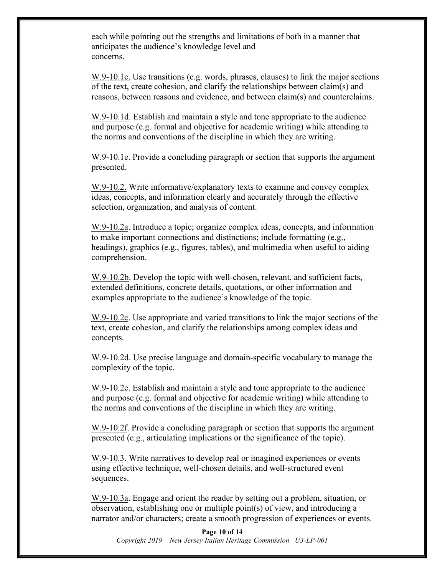each while pointing out the strengths and limitations of both in a manner that anticipates the audience's knowledge level and concerns.

W.9-10.1c. Use transitions (e.g. words, phrases, clauses) to link the major sections of the text, create cohesion, and clarify the relationships between claim(s) and reasons, between reasons and evidence, and between claim(s) and counterclaims.

W.9-10.1d. Establish and maintain a style and tone appropriate to the audience and purpose (e.g. formal and objective for academic writing) while attending to the norms and conventions of the discipline in which they are writing.

W.9-10.1e. Provide a concluding paragraph or section that supports the argument presented.

W.9-10.2. Write informative/explanatory texts to examine and convey complex ideas, concepts, and information clearly and accurately through the effective selection, organization, and analysis of content.

W.9-10.2a. Introduce a topic; organize complex ideas, concepts, and information to make important connections and distinctions; include formatting (e.g., headings), graphics (e.g., figures, tables), and multimedia when useful to aiding comprehension.

W.9-10.2b. Develop the topic with well-chosen, relevant, and sufficient facts, extended definitions, concrete details, quotations, or other information and examples appropriate to the audience's knowledge of the topic.

W.9-10.2c. Use appropriate and varied transitions to link the major sections of the text, create cohesion, and clarify the relationships among complex ideas and concepts.

W.9-10.2d. Use precise language and domain-specific vocabulary to manage the complexity of the topic.

W.9-10.2e. Establish and maintain a style and tone appropriate to the audience and purpose (e.g. formal and objective for academic writing) while attending to the norms and conventions of the discipline in which they are writing.

W.9-10.2f. Provide a concluding paragraph or section that supports the argument presented (e.g., articulating implications or the significance of the topic).

W.9-10.3. Write narratives to develop real or imagined experiences or events using effective technique, well-chosen details, and well-structured event sequences.

W.9-10.3a. Engage and orient the reader by setting out a problem, situation, or observation, establishing one or multiple point(s) of view, and introducing a narrator and/or characters; create a smooth progression of experiences or events.

**Page 10 of 14** *Copyright 2019 – New Jersey Italian Heritage Commission U3-LP-001*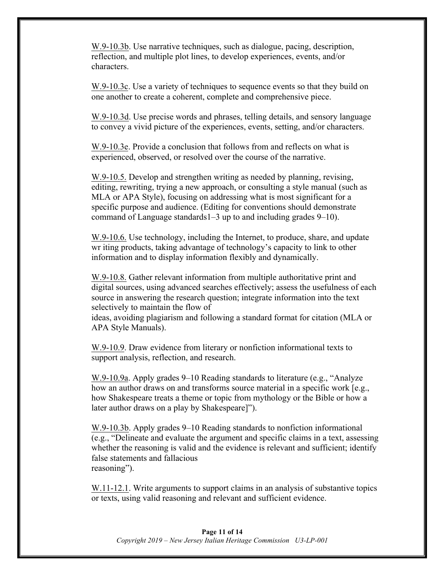W.9-10.3b. Use narrative techniques, such as dialogue, pacing, description, reflection, and multiple plot lines, to develop experiences, events, and/or characters.

W.9-10.3c. Use a variety of techniques to sequence events so that they build on one another to create a coherent, complete and comprehensive piece.

W.9-10.3d. Use precise words and phrases, telling details, and sensory language to convey a vivid picture of the experiences, events, setting, and/or characters.

W.9-10.3e. Provide a conclusion that follows from and reflects on what is experienced, observed, or resolved over the course of the narrative.

W.9-10.5. Develop and strengthen writing as needed by planning, revising, editing, rewriting, trying a new approach, or consulting a style manual (such as MLA or APA Style), focusing on addressing what is most significant for a specific purpose and audience. (Editing for conventions should demonstrate command of Language standards1–3 up to and including grades 9–10).

W.9-10.6. Use technology, including the Internet, to produce, share, and update wr iting products, taking advantage of technology's capacity to link to other information and to display information flexibly and dynamically.

W.9-10.8. Gather relevant information from multiple authoritative print and digital sources, using advanced searches effectively; assess the usefulness of each source in answering the research question; integrate information into the text selectively to maintain the flow of

ideas, avoiding plagiarism and following a standard format for citation (MLA or APA Style Manuals).

W.9-10.9. Draw evidence from literary or nonfiction informational texts to support analysis, reflection, and research.

W.9-10.9a. Apply grades 9–10 Reading standards to literature (e.g., "Analyze" how an author draws on and transforms source material in a specific work [e.g., how Shakespeare treats a theme or topic from mythology or the Bible or how a later author draws on a play by Shakespeare]").

W.9-10.3b. Apply grades 9–10 Reading standards to nonfiction informational (e.g., "Delineate and evaluate the argument and specific claims in a text, assessing whether the reasoning is valid and the evidence is relevant and sufficient; identify false statements and fallacious reasoning").

W.11-12.1. Write arguments to support claims in an analysis of substantive topics or texts, using valid reasoning and relevant and sufficient evidence.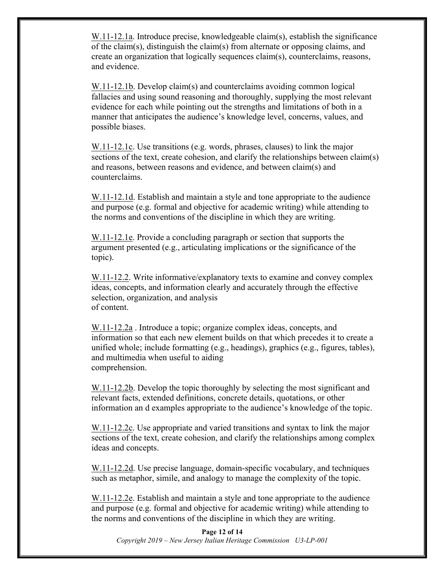W.11-12.1a. Introduce precise, knowledgeable claim(s), establish the significance of the claim(s), distinguish the claim(s) from alternate or opposing claims, and create an organization that logically sequences claim(s), counterclaims, reasons, and evidence.

W.11-12.1b. Develop claim(s) and counterclaims avoiding common logical fallacies and using sound reasoning and thoroughly, supplying the most relevant evidence for each while pointing out the strengths and limitations of both in a manner that anticipates the audience's knowledge level, concerns, values, and possible biases.

W.11-12.1c. Use transitions (e.g. words, phrases, clauses) to link the major sections of the text, create cohesion, and clarify the relationships between claim(s) and reasons, between reasons and evidence, and between claim(s) and counterclaims.

W.11-12.1d. Establish and maintain a style and tone appropriate to the audience and purpose (e.g. formal and objective for academic writing) while attending to the norms and conventions of the discipline in which they are writing.

W.11-12.1e. Provide a concluding paragraph or section that supports the argument presented (e.g., articulating implications or the significance of the topic).

W.11-12.2. Write informative/explanatory texts to examine and convey complex ideas, concepts, and information clearly and accurately through the effective selection, organization, and analysis of content.

W.11-12.2a . Introduce a topic; organize complex ideas, concepts, and information so that each new element builds on that which precedes it to create a unified whole; include formatting (e.g., headings), graphics (e.g., figures, tables), and multimedia when useful to aiding comprehension.

W.11-12.2b. Develop the topic thoroughly by selecting the most significant and relevant facts, extended definitions, concrete details, quotations, or other information an d examples appropriate to the audience's knowledge of the topic.

W.11-12.2c. Use appropriate and varied transitions and syntax to link the major sections of the text, create cohesion, and clarify the relationships among complex ideas and concepts.

W.11-12.2d. Use precise language, domain-specific vocabulary, and techniques such as metaphor, simile, and analogy to manage the complexity of the topic.

W.11-12.2e. Establish and maintain a style and tone appropriate to the audience and purpose (e.g. formal and objective for academic writing) while attending to the norms and conventions of the discipline in which they are writing.

**Page 12 of 14** *Copyright 2019 – New Jersey Italian Heritage Commission U3-LP-001*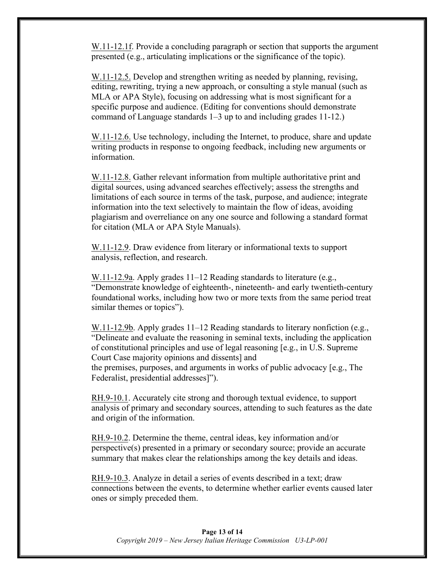W.11-12.1f. Provide a concluding paragraph or section that supports the argument presented (e.g., articulating implications or the significance of the topic).

W.11-12.5. Develop and strengthen writing as needed by planning, revising, editing, rewriting, trying a new approach, or consulting a style manual (such as MLA or APA Style), focusing on addressing what is most significant for a specific purpose and audience. (Editing for conventions should demonstrate command of Language standards 1–3 up to and including grades 11-12.)

W.11-12.6. Use technology, including the Internet, to produce, share and update writing products in response to ongoing feedback, including new arguments or information.

W.11-12.8. Gather relevant information from multiple authoritative print and digital sources, using advanced searches effectively; assess the strengths and limitations of each source in terms of the task, purpose, and audience; integrate information into the text selectively to maintain the flow of ideas, avoiding plagiarism and overreliance on any one source and following a standard format for citation (MLA or APA Style Manuals).

W.11-12.9. Draw evidence from literary or informational texts to support analysis, reflection, and research.

W.11-12.9a. Apply grades 11–12 Reading standards to literature (e.g., "Demonstrate knowledge of eighteenth-, nineteenth- and early twentieth-century foundational works, including how two or more texts from the same period treat similar themes or topics").

W.11-12.9b. Apply grades 11–12 Reading standards to literary nonfiction (e.g., "Delineate and evaluate the reasoning in seminal texts, including the application of constitutional principles and use of legal reasoning [e.g., in U.S. Supreme Court Case majority opinions and dissents] and the premises, purposes, and arguments in works of public advocacy [e.g., The Federalist, presidential addresses]").

RH.9-10.1. Accurately cite strong and thorough textual evidence, to support analysis of primary and secondary sources, attending to such features as the date and origin of the information.

RH.9-10.2. Determine the theme, central ideas, key information and/or perspective(s) presented in a primary or secondary source; provide an accurate summary that makes clear the relationships among the key details and ideas.

RH.9-10.3. Analyze in detail a series of events described in a text; draw connections between the events, to determine whether earlier events caused later ones or simply preceded them.